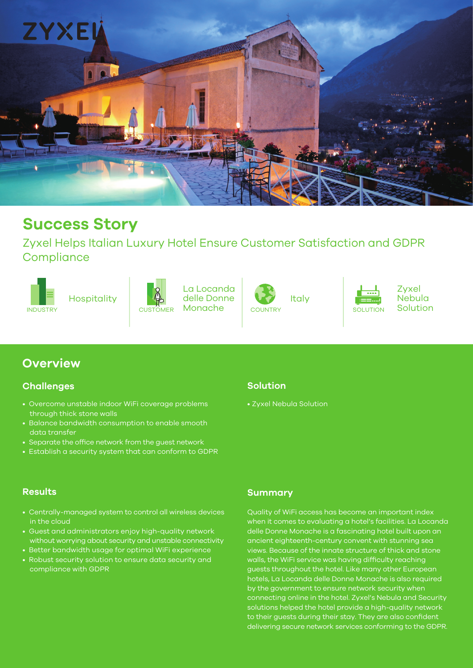

# **Success Story**

Zyxel Helps Italian Luxury Hotel Ensure Customer Satisfaction and GDPR **Compliance** 





INDUSTRY SOLUTION SOLUTION SOLUTION SOLUTION SOLUTION SOLUTION Hospitality **Italy** delle Donne VII Italy La Locanda Monache





Zyxel Nebula

## **Overview**

#### **Challenges**

- Overcome unstable indoor WiFi coverage problems through thick stone walls
- Balance bandwidth consumption to enable smooth data transfer
- Separate the office network from the guest network
- Establish a security system that can conform to GDPR

# **Solution**

• Zyxel Nebula Solution

- Centrally-managed system to control all wireless devices in the cloud
- Guest and administrators enjoy high-quality network without worrying about security and unstable connectivity
- Better bandwidth usage for optimal WiFi experience
- Robust security solution to ensure data security and compliance with GDPR

#### **Results Summary**

Quality of WiFi access has become an important index when it comes to evaluating a hotel's facilities. La Locanda delle Donne Monache is a fascinating hotel built upon an ancient eighteenth-century convent with stunning sea views. Because of the innate structure of thick and stone walls, the WiFi service was having difficulty reaching guests throughout the hotel. Like many other European hotels, La Locanda delle Donne Monache is also required by the government to ensure network security when connecting online in the hotel. Zyxel's Nebula and Security solutions helped the hotel provide a high-quality network to their guests during their stay. They are also confident delivering secure network services conforming to the GDPR.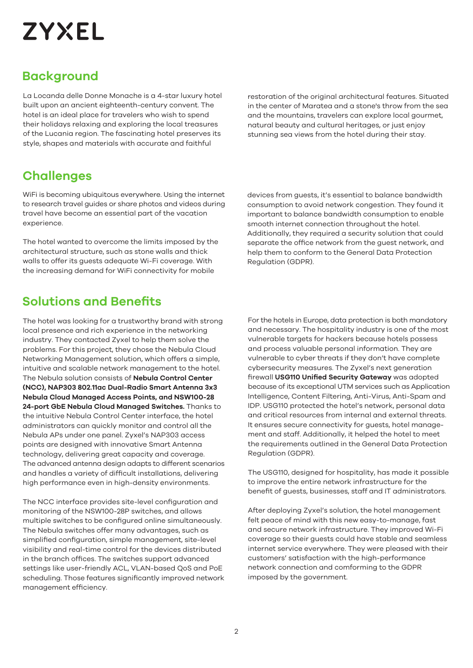# **ZYXEL**

# **Background**

La Locanda delle Donne Monache is a 4-star luxury hotel built upon an ancient eighteenth-century convent. The hotel is an ideal place for travelers who wish to spend their holidays relaxing and exploring the local treasures of the Lucania region. The fascinating hotel preserves its style, shapes and materials with accurate and faithful

restoration of the original architectural features. Situated in the center of Maratea and a stone's throw from the sea and the mountains, travelers can explore local gourmet, natural beauty and cultural heritages, or just enjoy stunning sea views from the hotel during their stay.

# **Challenges**

WiFi is becoming ubiquitous everywhere. Using the internet to research travel guides or share photos and videos during travel have become an essential part of the vacation experience.

The hotel wanted to overcome the limits imposed by the architectural structure, such as stone walls and thick walls to offer its guests adequate Wi-Fi coverage. With the increasing demand for WiFi connectivity for mobile

# **Solutions and Benefits**

The hotel was looking for a trustworthy brand with strong local presence and rich experience in the networking industry. They contacted Zyxel to help them solve the problems. For this project, they chose the Nebula Cloud Networking Management solution, which offers a simple, intuitive and scalable network management to the hotel. The Nebula solution consists of **Nebula Control Center (NCC), NAP303 802.11ac Dual-Radio Smart Antenna 3x3 Nebula Cloud Managed Access Points, and NSW100-28 24-port GbE Nebula Cloud Managed Switches.** Thanks to the intuitive Nebula Control Center interface, the hotel administrators can quickly monitor and control all the Nebula APs under one panel. Zyxel's NAP303 access points are designed with innovative Smart Antenna technology, delivering great capacity and coverage. The advanced antenna design adapts to different scenarios and handles a variety of difficult installations, delivering high performance even in high-density environments.

The NCC interface provides site-level configuration and monitoring of the NSW100-28P switches, and allows multiple switches to be configured online simultaneously. The Nebula switches offer many advantages, such as simplified configuration, simple management, site-level visibility and real-time control for the devices distributed in the branch offices. The switches support advanced settings like user-friendly ACL, VLAN-based QoS and PoE scheduling. Those features significantly improved network management efficiency.

devices from guests, it's essential to balance bandwidth consumption to avoid network congestion. They found it important to balance bandwidth consumption to enable smooth internet connection throughout the hotel. Additionally, they required a security solution that could separate the office network from the guest network, and help them to conform to the General Data Protection Regulation (GDPR).

For the hotels in Europe, data protection is both mandatory and necessary. The hospitality industry is one of the most vulnerable targets for hackers because hotels possess and process valuable personal information. They are vulnerable to cyber threats if they don't have complete cybersecurity measures. The Zyxel's next generation firewall **USG110 Unified Security Gateway** was adopted because of its exceptional UTM services such as Application Intelligence, Content Filtering, Anti-Virus, Anti-Spam and IDP. USG110 protected the hotel's network, personal data and critical resources from internal and external threats. It ensures secure connectivity for guests, hotel management and staff. Additionally, it helped the hotel to meet the requirements outlined in the General Data Protection Regulation (GDPR).

The USG110, designed for hospitality, has made it possible to improve the entire network infrastructure for the benefit of guests, businesses, staff and IT administrators.

After deploying Zyxel's solution, the hotel management felt peace of mind with this new easy-to-manage, fast and secure network infrastructure. They improved Wi-Fi coverage so their guests could have stable and seamless internet service everywhere. They were pleased with their customers' satisfaction with the high-performance network connection and comforming to the GDPR imposed by the government.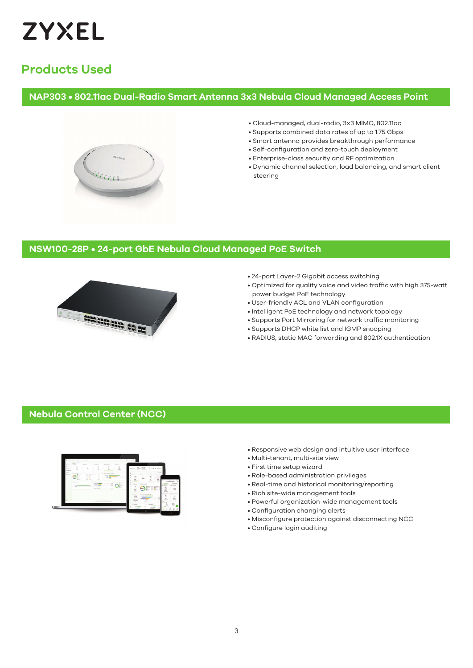

# **Products Used**

#### **NAP303 • 802.11ac Dual-Radio Smart Antenna 3x3 Nebula Cloud Managed Access Point**



- Cloud-managed, dual-radio, 3x3 MIMO, 802.11ac
- Supports combined data rates of up to 1.75 Gbps
- Smart antenna provides breakthrough performance
- Self-configuration and zero-touch deployment
- Enterprise-class security and RF optimization
- Dynamic channel selection, load balancing, and smart client steering

#### **NSW100-28P • 24-port GbE Nebula Cloud Managed PoE Switch**



- 24-port Layer-2 Gigabit access switching
- Optimized for quality voice and video traffic with high 375-watt power budget PoE technology
- User-friendly ACL and VLAN configuration
- Intelligent PoE technology and network topology
- Supports Port Mirroring for network traffic monitoring
- Supports DHCP white list and IGMP snooping
- RADIUS, static MAC forwarding and 802.1X authentication

#### **Nebula Control Center (NCC)**



- Responsive web design and intuitive user interface
- Multi-tenant, multi-site view
- First time setup wizard
- Role-based administration privileges
- Real-time and historical monitoring/reporting
- Rich site-wide management tools
- Powerful organization-wide management tools
- Configuration changing alerts
- Misconfigure protection against disconnecting NCC
- Configure login auditing